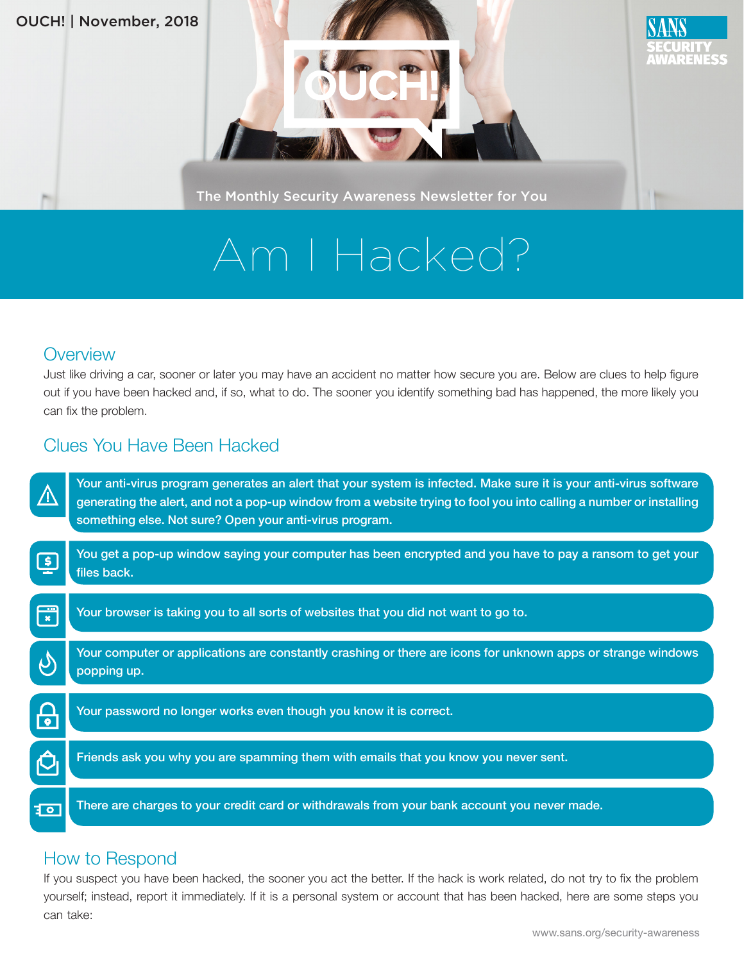#### OUCH! | November, 2018



The Monthly Security Awareness Newsletter for You

# Am I Hacked?

### **Overview**

Just like driving a car, sooner or later you may have an accident no matter how secure you are. Below are clues to help figure out if you have been hacked and, if so, what to do. The sooner you identify something bad has happened, the more likely you can fix the problem.

## Clues You Have Been Hacked

|                            | Your anti-virus program generates an alert that your system is infected. Make sure it is your anti-virus software<br>generating the alert, and not a pop-up window from a website trying to fool you into calling a number or installing<br>something else. Not sure? Open your anti-virus program. |
|----------------------------|-----------------------------------------------------------------------------------------------------------------------------------------------------------------------------------------------------------------------------------------------------------------------------------------------------|
| $\lceil \mathsf{s} \rceil$ | You get a pop-up window saying your computer has been encrypted and you have to pay a ransom to get your<br>files back.                                                                                                                                                                             |
| <u>a m</u><br>$\mathbf{x}$ | Your browser is taking you to all sorts of websites that you did not want to go to.                                                                                                                                                                                                                 |
|                            | Your computer or applications are constantly crashing or there are icons for unknown apps or strange windows<br>popping up.                                                                                                                                                                         |
| $\bullet$                  | Your password no longer works even though you know it is correct.                                                                                                                                                                                                                                   |
|                            | Friends ask you why you are spamming them with emails that you know you never sent.                                                                                                                                                                                                                 |
| ३०                         | There are charges to your credit card or withdrawals from your bank account you never made.                                                                                                                                                                                                         |

### How to Respond

If you suspect you have been hacked, the sooner you act the better. If the hack is work related, do not try to fix the problem yourself; instead, report it immediately. If it is a personal system or account that has been hacked, here are some steps you can take:

ARENESS

**Hole**